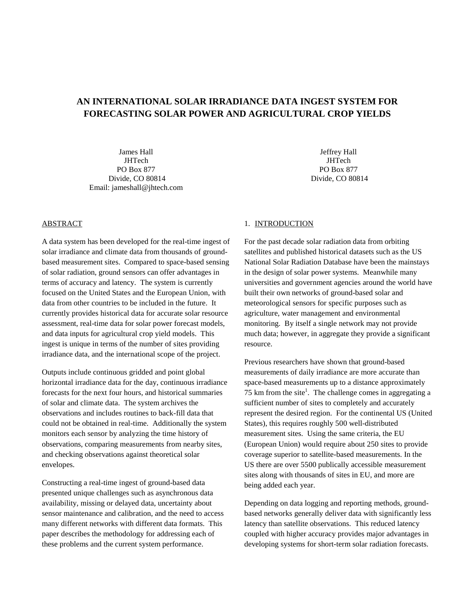# **AN INTERNATIONAL SOLAR IRRADIANCE DATA INGEST SYSTEM FOR FORECASTING SOLAR POWER AND AGRICULTURAL CROP YIELDS**

James Hall **JHTech** PO Box 877 Divide, CO 80814 Email: jameshall@jhtech.com

Jeffrey Hall **JHTech** PO Box 877 Divide, CO 80814

## ABSTRACT

A data system has been developed for the real-time ingest of solar irradiance and climate data from thousands of groundbased measurement sites. Compared to space-based sensing of solar radiation, ground sensors can offer advantages in terms of accuracy and latency. The system is currently focused on the United States and the European Union, with data from other countries to be included in the future. It currently provides historical data for accurate solar resource assessment, real-time data for solar power forecast models, and data inputs for agricultural crop yield models. This ingest is unique in terms of the number of sites providing irradiance data, and the international scope of the project.

Outputs include continuous gridded and point global horizontal irradiance data for the day, continuous irradiance forecasts for the next four hours, and historical summaries of solar and climate data. The system archives the observations and includes routines to back-fill data that could not be obtained in real-time. Additionally the system monitors each sensor by analyzing the time history of observations, comparing measurements from nearby sites, and checking observations against theoretical solar envelopes.

Constructing a real-time ingest of ground-based data presented unique challenges such as asynchronous data availability, missing or delayed data, uncertainty about sensor maintenance and calibration, and the need to access many different networks with different data formats. This paper describes the methodology for addressing each of these problems and the current system performance.

#### 1. INTRODUCTION

For the past decade solar radiation data from orbiting satellites and published historical datasets such as the US National Solar Radiation Database have been the mainstays in the design of solar power systems. Meanwhile many universities and government agencies around the world have built their own networks of ground-based solar and meteorological sensors for specific purposes such as agriculture, water management and environmental monitoring. By itself a single network may not provide much data; however, in aggregate they provide a significant resource.

Previous researchers have shown that ground-based measurements of daily irradiance are more accurate than space-based measurements up to a distance approximately 75 km from the site<sup>1</sup>. The challenge comes in aggregating a sufficient number of sites to completely and accurately represent the desired region. For the continental US (United States), this requires roughly 500 well-distributed measurement sites. Using the same criteria, the EU (European Union) would require about 250 sites to provide coverage superior to satellite-based measurements. In the US there are over 5500 publically accessible measurement sites along with thousands of sites in EU, and more are being added each year.

Depending on data logging and reporting methods, groundbased networks generally deliver data with significantly less latency than satellite observations. This reduced latency coupled with higher accuracy provides major advantages in developing systems for short-term solar radiation forecasts.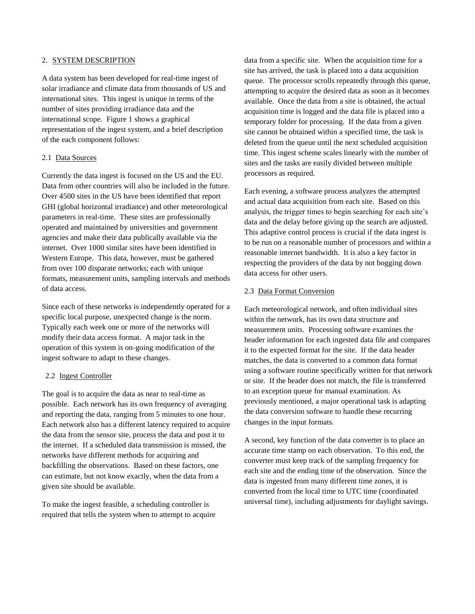### 2. SYSTEM DESCRIPTION

A data system has been developed for real-time ingest of solar irradiance and climate data from thousands of US and international sites. This ingest is unique in terms of the number of sites providing irradiance data and the international scope. Figure 1 shows a graphical representation of the ingest system, and a brief description of the each component follows:

# 2.1 Data Sources

Currently the data ingest is focused on the US and the EU. Data from other countries will also be included in the future. Over 4500 sites in the US have been identified that report GHI (global horizontal irradiance) and other meteorological parameters in real-time. These sites are professionally operated and maintained by universities and government agencies and make their data publically available via the internet. Over 1000 similar sites have been identified in Western Europe. This data, however, must be gathered from over 100 disparate networks; each with unique formats, measurement units, sampling intervals and methods of data access.

Since each of these networks is independently operated for a specific local purpose, unexpected change is the norm. Typically each week one or more of the networks will modify their data access format. A major task in the operation of this system is on-going modification of the ingest software to adapt to these changes.

#### 2.2 Ingest Controller

The goal is to acquire the data as near to real-time as possible. Each network has its own frequency of averaging and reporting the data, ranging from 5 minutes to one hour. Each network also has a different latency required to acquire the data from the sensor site, process the data and post it to the internet. If a scheduled data transmission is missed, the networks have different methods for acquiring and backfilling the observations. Based on these factors, one can estimate, but not know exactly, when the data from a given site should be available.

To make the ingest feasible, a scheduling controller is required that tells the system when to attempt to acquire data from a specific site. When the acquisition time for a site has arrived, the task is placed into a data acquisition queue. The processor scrolls repeatedly through this queue, attempting to acquire the desired data as soon as it becomes available. Once the data from a site is obtained, the actual acquisition time is logged and the data file is placed into a temporary folder for processing. If the data from a given site cannot be obtained within a specified time, the task is deleted from the queue until the next scheduled acquisition time. This ingest scheme scales linearly with the number of sites and the tasks are easily divided between multiple processors as required.

Each evening, a software process analyzes the attempted and actual data acquisition from each site. Based on this analysis, the trigger times to begin searching for each site's data and the delay before giving up the search are adjusted. This adaptive control process is crucial if the data ingest is to be run on a reasonable number of processors and within a reasonable internet bandwidth. It is also a key factor in respecting the providers of the data by not bogging down data access for other users.

## 2.3 Data Format Conversion

Each meteorological network, and often individual sites within the network, has its own data structure and measurement units. Processing software examines the header information for each ingested data file and compares it to the expected format for the site. If the data header matches, the data is converted to a common data format using a software routine specifically written for that network or site. If the header does not match, the file is transferred to an exception queue for manual examination. As previously mentioned, a major operational task is adapting the data conversion software to handle these recurring changes in the input formats.

A second, key function of the data converter is to place an accurate time stamp on each observation. To this end, the converter must keep track of the sampling frequency for each site and the ending time of the observation. Since the data is ingested from many different time zones, it is converted from the local time to UTC time (coordinated universal time), including adjustments for daylight savings.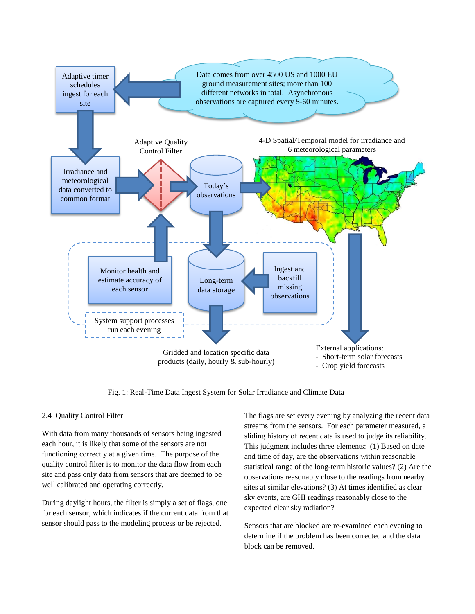

Fig. 1: Real-Time Data Ingest System for Solar Irradiance and Climate Data

#### 2.4 Quality Control Filter

With data from many thousands of sensors being ingested each hour, it is likely that some of the sensors are not functioning correctly at a given time. The purpose of the quality control filter is to monitor the data flow from each site and pass only data from sensors that are deemed to be well calibrated and operating correctly.

During daylight hours, the filter is simply a set of flags, one for each sensor, which indicates if the current data from that sensor should pass to the modeling process or be rejected.

The flags are set every evening by analyzing the recent data streams from the sensors. For each parameter measured, a sliding history of recent data is used to judge its reliability. This judgment includes three elements: (1) Based on date and time of day, are the observations within reasonable statistical range of the long-term historic values? (2) Are the observations reasonably close to the readings from nearby sites at similar elevations? (3) At times identified as clear sky events, are GHI readings reasonably close to the expected clear sky radiation?

Sensors that are blocked are re-examined each evening to determine if the problem has been corrected and the data block can be removed.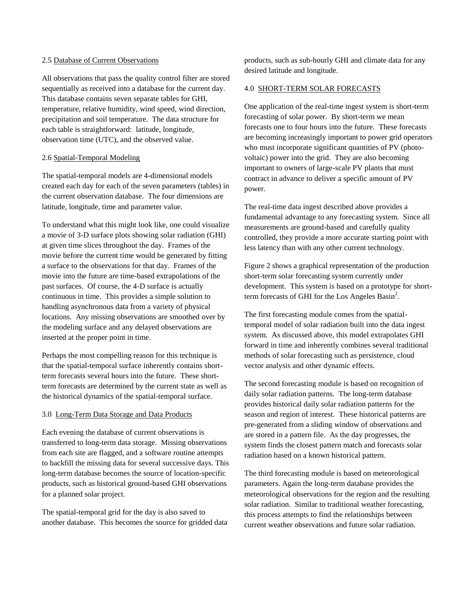### 2.5 Database of Current Observations

All observations that pass the quality control filter are stored sequentially as received into a database for the current day. This database contains seven separate tables for GHI, temperature, relative humidity, wind speed, wind direction, precipitation and soil temperature. The data structure for each table is straightforward: latitude, longitude, observation time (UTC), and the observed value.

## 2.6 Spatial-Temporal Modeling

The spatial-temporal models are 4-dimensional models created each day for each of the seven parameters (tables) in the current observation database. The four dimensions are latitude, longitude, time and parameter value.

To understand what this might look like, one could visualize a movie of 3-D surface plots showing solar radiation (GHI) at given time slices throughout the day. Frames of the movie before the current time would be generated by fitting a surface to the observations for that day. Frames of the movie into the future are time-based extrapolations of the past surfaces. Of course, the 4-D surface is actually continuous in time. This provides a simple solution to handling asynchronous data from a variety of physical locations. Any missing observations are smoothed over by the modeling surface and any delayed observations are inserted at the proper point in time.

Perhaps the most compelling reason for this technique is that the spatial-temporal surface inherently contains shortterm forecasts several hours into the future. These shortterm forecasts are determined by the current state as well as the historical dynamics of the spatial-temporal surface.

### 3.0 Long-Term Data Storage and Data Products

Each evening the database of current observations is transferred to long-term data storage. Missing observations from each site are flagged, and a software routine attempts to backfill the missing data for several successive days. This long-term database becomes the source of location-specific products, such as historical ground-based GHI observations for a planned solar project.

The spatial-temporal grid for the day is also saved to another database. This becomes the source for gridded data products, such as sub-hourly GHI and climate data for any desired latitude and longitude.

# 4.0 SHORT-TERM SOLAR FORECASTS

One application of the real-time ingest system is short-term forecasting of solar power. By short-term we mean forecasts one to four hours into the future. These forecasts are becoming increasingly important to power grid operators who must incorporate significant quantities of PV (photovoltaic) power into the grid. They are also becoming important to owners of large-scale PV plants that must contract in advance to deliver a specific amount of PV power.

The real-time data ingest described above provides a fundamental advantage to any forecasting system. Since all measurements are ground-based and carefully quality controlled, they provide a more accurate starting point with less latency than with any other current technology.

Figure 2 shows a graphical representation of the production short-term solar forecasting system currently under development. This system is based on a prototype for shortterm forecasts of GHI for the Los Angeles Basin<sup>2</sup>.

The first forecasting module comes from the spatialtemporal model of solar radiation built into the data ingest system. As discussed above, this model extrapolates GHI forward in time and inherently combines several traditional methods of solar forecasting such as persistence, cloud vector analysis and other dynamic effects.

The second forecasting module is based on recognition of daily solar radiation patterns. The long-term database provides historical daily solar radiation patterns for the season and region of interest. These historical patterns are pre-generated from a sliding window of observations and are stored in a pattern file. As the day progresses, the system finds the closest pattern match and forecasts solar radiation based on a known historical pattern.

The third forecasting module is based on meteorological parameters. Again the long-term database provides the meteorological observations for the region and the resulting solar radiation. Similar to traditional weather forecasting, this process attempts to find the relationships between current weather observations and future solar radiation.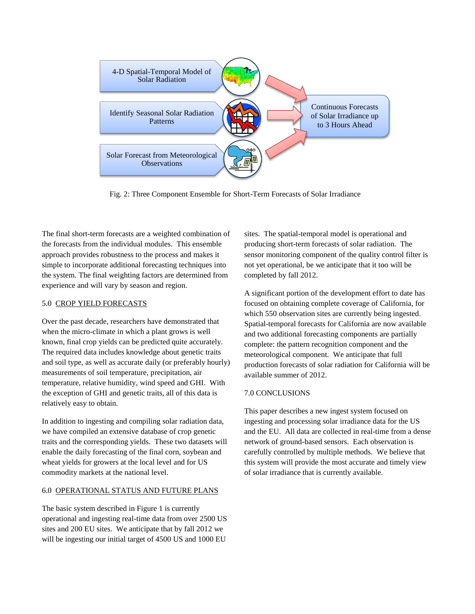

Fig. 2: Three Component Ensemble for Short-Term Forecasts of Solar Irradiance

The final short-term forecasts are a weighted combination of the forecasts from the individual modules. This ensemble approach provides robustness to the process and makes it simple to incorporate additional forecasting techniques into the system. The final weighting factors are determined from experience and will vary by season and region.

## 5.0 CROP YIELD FORECASTS

Over the past decade, researchers have demonstrated that when the micro-climate in which a plant grows is well known, final crop yields can be predicted quite accurately. The required data includes knowledge about genetic traits and soil type, as well as accurate daily (or preferably hourly) measurements of soil temperature, precipitation, air temperature, relative humidity, wind speed and GHI. With the exception of GHI and genetic traits, all of this data is relatively easy to obtain.

In addition to ingesting and compiling solar radiation data, we have compiled an extensive database of crop genetic traits and the corresponding yields. These two datasets will enable the daily forecasting of the final corn, soybean and wheat yields for growers at the local level and for US commodity markets at the national level.

#### 6.0 OPERATIONAL STATUS AND FUTURE PLANS

The basic system described in Figure 1 is currently operational and ingesting real-time data from over 2500 US sites and 200 EU sites. We anticipate that by fall 2012 we will be ingesting our initial target of 4500 US and 1000 EU

sites. The spatial-temporal model is operational and producing short-term forecasts of solar radiation. The sensor monitoring component of the quality control filter is not yet operational, be we anticipate that it too will be completed by fall 2012.

A significant portion of the development effort to date has focused on obtaining complete coverage of California, for which 550 observation sites are currently being ingested. Spatial-temporal forecasts for California are now available and two additional forecasting components are partially complete: the pattern recognition component and the meteorological component. We anticipate that full production forecasts of solar radiation for California will be available summer of 2012.

#### 7.0 CONCLUSIONS

This paper describes a new ingest system focused on ingesting and processing solar irradiance data for the US and the EU. All data are collected in real-time from a dense network of ground-based sensors. Each observation is carefully controlled by multiple methods. We believe that this system will provide the most accurate and timely view of solar irradiance that is currently available.